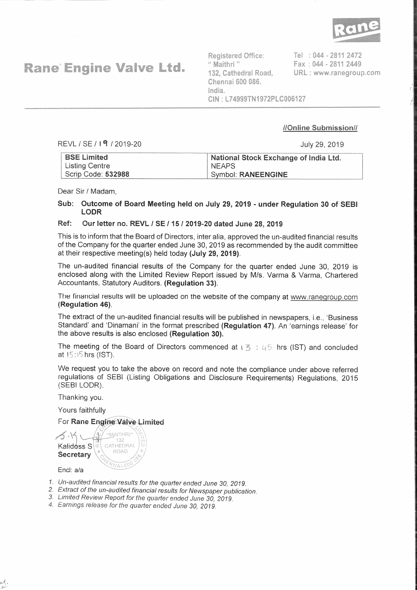

**Rane Engine Valve Ltd.** 

Registered Office: " Maithri " 132. Cathedral Road. Chennai 600 086. India. CIN: L74999TN1972PLC006127

Tel: 044 - 2811 2472 Fax: 044 - 2811 2449 URL: www.ranegroup.com

# //Online Submission//

REVL / SE / 19 / 2019-20

July 29, 2019

| <b>BSE Limited</b>    | National Stock Exchange of India Ltd. |
|-----------------------|---------------------------------------|
| <b>Listing Centre</b> | <b>NEAPS</b>                          |
| Scrip Code: 532988    | Symbol: RANEENGINE                    |

Dear Sir / Madam.

Sub: Outcome of Board Meeting held on July 29, 2019 - under Regulation 30 of SEBI **LODR** 

#### Ref: Our letter no. REVL / SE / 15 / 2019-20 dated June 28, 2019

This is to inform that the Board of Directors, inter alia, approved the un-audited financial results of the Company for the quarter ended June 30, 2019 as recommended by the audit committee at their respective meeting(s) held today (July 29, 2019).

The un-audited financial results of the Company for the quarter ended June 30, 2019 is enclosed along with the Limited Review Report issued by M/s. Varma & Varma, Chartered Accountants, Statutory Auditors. (Regulation 33).

The financial results will be uploaded on the website of the company at www.ranegroup.com (Regulation 46).

The extract of the un-audited financial results will be published in newspapers, i.e., 'Business Standard' and 'Dinamani' in the format prescribed (Regulation 47). An 'earnings release' for the above results is also enclosed (Regulation 30).

The meeting of the Board of Directors commenced at  $\sqrt{3}$  : 45 hrs (IST) and concluded at 15:15 hrs (IST).

We request you to take the above on record and note the compliance under above referred regulations of SEBI (Listing Obligations and Disclosure Requirements) Regulations, 2015 (SEBILODR).

Thanking you.

Yours faithfully

# For Rane Engine Valve Limited

"MAITHRI" CATHEDRAI Kalidóss S ROAD Secretary  $NAT-6$ 

Encl: a/a

- 1. Un-audited financial results for the quarter ended June 30, 2019.
- 2. Extract of the un-audited financial results for Newspaper publication.
- 3. Limited Review Report for the quarter ended June 30, 2019.
- 4. Earnings release for the quarter ended June 30, 2019.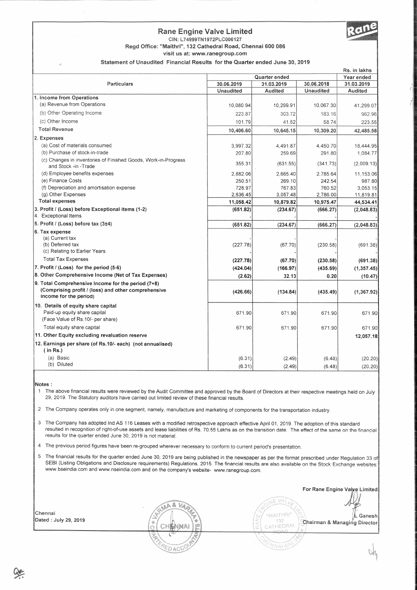### **Rane Engine Valve Limited**



Regd Office: "Maithri", 132 Cathedral Road, Chennai 600 086

visit us at: www.ranegroup.com

Statement of Unaudited Financial Results for the Quarter ended June 30, 2019

|                                                                                        |                             |            |           | RS. In faktis            |  |
|----------------------------------------------------------------------------------------|-----------------------------|------------|-----------|--------------------------|--|
|                                                                                        | Quarter ended<br>Year ended |            |           |                          |  |
| Particulars                                                                            | 30.06.2019                  | 31.03.2019 |           | 30.06.2018<br>31.03.2019 |  |
|                                                                                        | Unaudited                   | Audited    | Unaudited | Audited                  |  |
| 1. Income from Operations                                                              |                             |            |           |                          |  |
| (a) Revenue from Operations                                                            | 10,080.94                   | 10,299.91  | 10,067.30 | 41,299.07                |  |
| (b) Other Operating Income                                                             | 223.87                      | 303.72     | 183.16    | 962.96                   |  |
| (c) Other Income                                                                       | 101.79                      | 41.52      | 58.74     | 223.55                   |  |
| <b>Total Revenue</b>                                                                   | 10,406.60                   | 10,645.15  | 10,309.20 | 42,485.58                |  |
| 2. Expenses                                                                            |                             |            |           |                          |  |
| (a) Cost of materials consumed                                                         | 3,997.32                    | 4,491.87   | 4,450.70  | 18,444.95                |  |
| (b) Purchase of stock-in-trade                                                         | 207.80                      | 259.69     | 291.80    | 1,084.77                 |  |
| (c) Changes in inventories of Finished Goods, Work-in-Progress<br>and Stock -in -Trade | 355.31                      | (631.55)   | (341.73)  | (2,009.13)               |  |
| (d) Employee benefits expenses                                                         | 2.882.06                    | 2.665.40   | 2,785.64  | 11,153.06                |  |
| (e) Finance Costs                                                                      | 250.51                      | 269.10     | 242.54    | 987.80                   |  |
| (f) Depreciation and amortisation expense                                              | 728.97                      | 767.83     | 760.52    | 3,053,15                 |  |
| (g) Other Expenses                                                                     | 2,636.45                    | 3,057.48   | 2,786.00  | 11,819.81                |  |
| <b>Total expenses</b>                                                                  | 11,058.42                   | 10,879.82  | 10,975.47 | 44,534.41                |  |
| 3. Profit / (Loss) before Exceptional items (1-2)<br>4. Exceptional Items              | (651.82)                    | (234.67)   | (666.27)  | (2,048.83)               |  |
| 5. Profit / (Loss) before tax (3±4)                                                    | (651.82)                    | (234.67)   | (666.27)  | (2,048.83)               |  |
| 6. Tax expense                                                                         |                             |            |           |                          |  |
| (a) Current tax                                                                        |                             |            |           |                          |  |
| (b) Deferred tax                                                                       | (227.78)                    | (67.70)    | (230.58)  | (691.38)                 |  |
| (c) Relating to Earlier Years                                                          |                             |            |           |                          |  |
| <b>Total Tax Expenses</b>                                                              | (227.78)                    | (67.70)    | (230.58)  | (691.38)                 |  |
| 7. Profit / (Loss) for the period (5-6)                                                | (424.04)                    | (166.97)   | (435.69)  | (1, 357.45)              |  |
| 8. Other Comprehensive Income (Net of Tax Expenses)                                    | (2.62)                      | 32.13      | 0.20      | (10.47)                  |  |
| 9. Total Comprehensive Income for the period (7+8)                                     |                             |            |           |                          |  |
| (Comprising profit / (loss) and other comprehensive<br>income for the period)          | (426.66)                    | (134.84)   | (435.49)  | (1, 367.92)              |  |
| 10. Details of equity share capital                                                    |                             |            |           |                          |  |
| Paid-up equity share capital                                                           | 671.90                      | 671.90     | 671.90    | 671.90                   |  |
| (Face Value of Rs. 10/- per share)                                                     |                             |            |           |                          |  |
| Total equity share capital                                                             | 671.90                      | 671.90     | 671.90    | 671.90                   |  |
| 11. Other Equity excluding revaluation reserve                                         |                             |            |           | 12,057.18                |  |
| 12. Earnings per share (of Rs.10/- each) (not annualised)<br>(in Rs.)                  |                             |            |           |                          |  |
| (a) Basic                                                                              | (6.31)                      | (2.49)     | (6.48)    | (20.20)                  |  |
| (b) Diluted                                                                            | (6.31)                      | (2.49)     | (6.48)    | (20.20)                  |  |
|                                                                                        |                             |            |           |                          |  |

Notes :

The above financial results were reviewed by the Audit Committee and approved by the Board of Directors at their respective meetings held on July  $\overline{1}$ 29, 2019. The Statutory auditors have carried out limited review of these financial results.

The Company operates only in one segment, namely, manufacture and marketing of components for the transportation industry.  $\sqrt{2}$ 

 $\mathfrak{Z}$ The Company has adopted Ind AS 116 Leases with a modified retrospective approach effective April 01, 2019. The adoption of this standard resulted in recognition of right-of-use assets and lease liabilities of Rs. 70.55 Lakhs as on the transition date. The effect of the same on the financial results for the quarter ended June 30, 2019 is not material.

4 The previous period figures have been re-grouped wherever necessary to conform to current period's presentation.

Ed ac

The financial results for the quarter ended June 30, 2019 are being published in the newspaper as per the format prescribed under Regulation 33 of  $\sqrt{5}$ SEBI (Listing Obligations and Disclosure requirements) Regulations, 2015. The financial results are also available on the Stock Exchange websites www.bseindia.com and www.nseindia.com and on the company's website- www.ranegroup.com.

Chennai Dated: July 29, 2019

For Rane Engine Valve Limited

.<br>L Ganesh Chairman & Managing Director

E VAL)

"MAITHRI"

432

CATHEDRA

Vnad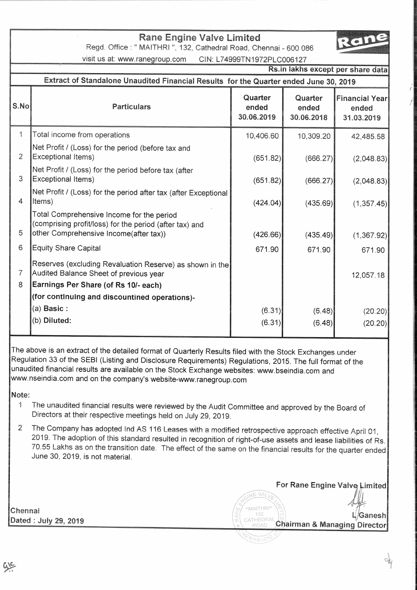# **Rane Engine Valve Limited**

Regd. Office: " MAITHRI ", 132, Cathedral Road, Chennai - 600 086

visit us at: www.ranegroup.com CIN: L74999TN1972PLC006127

|                     | Rs.in lakhs except per share data                                                                                                              |                                |                                |                                              |  |  |
|---------------------|------------------------------------------------------------------------------------------------------------------------------------------------|--------------------------------|--------------------------------|----------------------------------------------|--|--|
|                     | Extract of Standalone Unaudited Financial Results for the Quarter ended June 30, 2019                                                          |                                |                                |                                              |  |  |
| S.No                | <b>Particulars</b>                                                                                                                             | Quarter<br>ended<br>30.06.2019 | Quarter<br>ended<br>30.06.2018 | <b>Financial Year</b><br>ended<br>31.03.2019 |  |  |
| $\mathbf{1}$        | Total income from operations                                                                                                                   | 10,406.60                      | 10,309.20                      | 42,485.58                                    |  |  |
| $\overline{2}$      | Net Profit / (Loss) for the period (before tax and<br>Exceptional Items)                                                                       | (651.82)                       | (666.27)                       | (2,048.83)                                   |  |  |
| 3                   | Net Profit / (Loss) for the period before tax (after<br><b>Exceptional Items)</b>                                                              | (651.82)                       | (666.27)                       | (2,048.83)                                   |  |  |
| 4                   | Net Profit / (Loss) for the period after tax (after Exceptional<br>Items)                                                                      | (424.04)                       | (435.69)                       | (1,357.45)                                   |  |  |
| 5                   | Total Comprehensive Income for the period<br>(comprising profit/loss) for the period (after tax) and<br>other Comprehensive Income(after tax)) | (426.66)                       | (435.49)                       | (1,367.92)                                   |  |  |
| 6                   | <b>Equity Share Capital</b>                                                                                                                    | 671.90                         | 671.90                         | 671.90                                       |  |  |
| $\overline{7}$<br>8 | Reserves (excluding Revaluation Reserve) as shown in the<br>Audited Balance Sheet of previous year<br>Earnings Per Share (of Rs 10/- each)     |                                |                                | 12,057.18                                    |  |  |
|                     | (for continuing and discountined operations)-                                                                                                  |                                |                                |                                              |  |  |
|                     | (a) Basic:                                                                                                                                     | (6.31)                         | (6.48)                         | (20.20)                                      |  |  |
|                     | (b) Diluted:                                                                                                                                   | (6.31)                         | (6.48)                         | (20.20)                                      |  |  |
|                     |                                                                                                                                                |                                |                                |                                              |  |  |

The above is an extract of the detailed format of Quarterly Results filed with the Stock Exchanges under Regulation 33 of the SEBI (Listing and Disclosure Requirements) Regulations, 2015. The full format of the unaudited financial results are available on the Stock Exchange websites: www.bseindia.com and www.nseindia.com and on the company's website-www.ranegroup.com

### Note:

- The unaudited financial results were reviewed by the Audit Committee and approved by the Board of  $\mathbf{1}$ Directors at their respective meetings held on July 29, 2019.
- The Company has adopted Ind AS 116 Leases with a modified retrospective approach effective April 01,  $\overline{2}$ 2019. The adoption of this standard resulted in recognition of right-of-use assets and lease liabilities of Rs. 70.55 Lakhs as on the transition date. The effect of the same on the financial results for the quarter ended June 30, 2019, is not material.

Chennai Dated: July 29, 2019

For Rane Engine Valve Limited VÄ **MAITHRI** /Ganesh CATHEDRAL Chairman & Managing Director

'Nata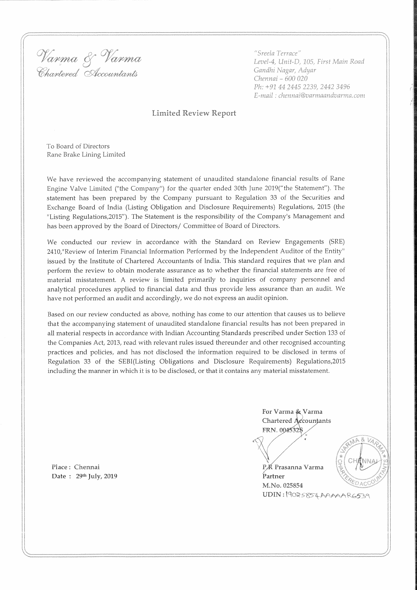Varma & Varma Chartered Accountants

"Sreela Terrace" Level-4, Unit-D, 105, First Main Road Gandhi Nagar, Adyar Chennai - 600 020 Ph: +91 44 2445 2239, 2442 3496 E-mail: chennai@varmaandvarma.com

#### **Limited Review Report**

To Board of Directors Rane Brake Lining Limited

We have reviewed the accompanying statement of unaudited standalone financial results of Rane Engine Valve Limited ("the Company") for the quarter ended 30th June 2019("the Statement"). The statement has been prepared by the Company pursuant to Regulation 33 of the Securities and Exchange Board of India (Listing Obligation and Disclosure Requirements) Regulations, 2015 (the "Listing Regulations,2015"). The Statement is the responsibility of the Company's Management and has been approved by the Board of Directors/ Committee of Board of Directors.

We conducted our review in accordance with the Standard on Review Engagements (SRE) 2410,"Review of Interim Financial Information Performed by the Independent Auditor of the Entity" issued by the Institute of Chartered Accountants of India. This standard requires that we plan and perform the review to obtain moderate assurance as to whether the financial statements are free of material misstatement. A review is limited primarily to inquiries of company personnel and analytical procedures applied to financial data and thus provide less assurance than an audit. We have not performed an audit and accordingly, we do not express an audit opinion.

Based on our review conducted as above, nothing has come to our attention that causes us to believe that the accompanying statement of unaudited standalone financial results has not been prepared in all material respects in accordance with Indian Accounting Standards prescribed under Section 133 of the Companies Act, 2013, read with relevant rules issued thereunder and other recognised accounting practices and policies, and has not disclosed the information required to be disclosed in terms of Regulation 33 of the SEBI(Listing Obligations and Disclosure Requirements) Regulations, 2015 including the manner in which it is to be disclosed, or that it contains any material misstatement.

> For Varma & Varma Chartered Accountants FRN. 004532S

P.K Prasanna Varma



Partner M.No. 025854 UDIN: 19025854AAAAARG539

Place: Chennai Date: 29th July, 2019